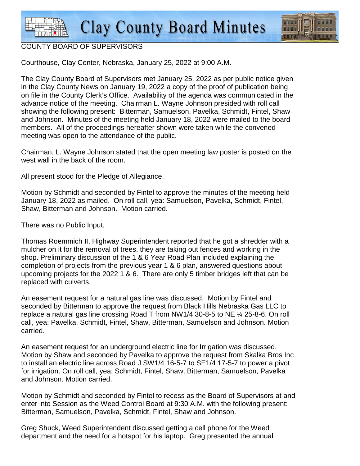

## COUNTY BOARD OF SUPERVISORS

Courthouse, Clay Center, Nebraska, January 25, 2022 at 9:00 A.M.

The Clay County Board of Supervisors met January 25, 2022 as per public notice given in the Clay County News on January 19, 2022 a copy of the proof of publication being on file in the County Clerk's Office. Availability of the agenda was communicated in the advance notice of the meeting. Chairman L. Wayne Johnson presided with roll call showing the following present: Bitterman, Samuelson, Pavelka, Schmidt, Fintel, Shaw and Johnson. Minutes of the meeting held January 18, 2022 were mailed to the board members. All of the proceedings hereafter shown were taken while the convened meeting was open to the attendance of the public.

Chairman, L. Wayne Johnson stated that the open meeting law poster is posted on the west wall in the back of the room.

All present stood for the Pledge of Allegiance.

Motion by Schmidt and seconded by Fintel to approve the minutes of the meeting held January 18, 2022 as mailed. On roll call, yea: Samuelson, Pavelka, Schmidt, Fintel, Shaw, Bitterman and Johnson. Motion carried.

There was no Public Input.

Thomas Roemmich II, Highway Superintendent reported that he got a shredder with a mulcher on it for the removal of trees, they are taking out fences and working in the shop. Preliminary discussion of the 1 & 6 Year Road Plan included explaining the completion of projects from the previous year 1 & 6 plan, answered questions about upcoming projects for the 2022 1 & 6. There are only 5 timber bridges left that can be replaced with culverts.

An easement request for a natural gas line was discussed. Motion by Fintel and seconded by Bitterman to approve the request from Black Hills Nebraska Gas LLC to replace a natural gas line crossing Road T from NW1/4 30-8-5 to NE ¼ 25-8-6. On roll call, yea: Pavelka, Schmidt, Fintel, Shaw, Bitterman, Samuelson and Johnson. Motion carried.

An easement request for an underground electric line for Irrigation was discussed. Motion by Shaw and seconded by Pavelka to approve the request from Skalka Bros Inc to install an electric line across Road J SW1/4 16-5-7 to SE1/4 17-5-7 to power a pivot for irrigation. On roll call, yea: Schmidt, Fintel, Shaw, Bitterman, Samuelson, Pavelka and Johnson. Motion carried.

Motion by Schmidt and seconded by Fintel to recess as the Board of Supervisors at and enter into Session as the Weed Control Board at 9:30 A.M. with the following present: Bitterman, Samuelson, Pavelka, Schmidt, Fintel, Shaw and Johnson.

Greg Shuck, Weed Superintendent discussed getting a cell phone for the Weed department and the need for a hotspot for his laptop. Greg presented the annual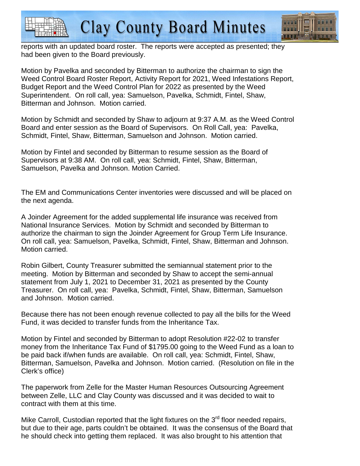



reports with an updated board roster. The reports were accepted as presented; they had been given to the Board previously.

Motion by Pavelka and seconded by Bitterman to authorize the chairman to sign the Weed Control Board Roster Report, Activity Report for 2021, Weed Infestations Report, Budget Report and the Weed Control Plan for 2022 as presented by the Weed Superintendent. On roll call, yea: Samuelson, Pavelka, Schmidt, Fintel, Shaw, Bitterman and Johnson. Motion carried.

Motion by Schmidt and seconded by Shaw to adjourn at 9:37 A.M. as the Weed Control Board and enter session as the Board of Supervisors. On Roll Call, yea: Pavelka, Schmidt, Fintel, Shaw, Bitterman, Samuelson and Johnson. Motion carried.

Motion by Fintel and seconded by Bitterman to resume session as the Board of Supervisors at 9:38 AM. On roll call, yea: Schmidt, Fintel, Shaw, Bitterman, Samuelson, Pavelka and Johnson. Motion Carried.

The EM and Communications Center inventories were discussed and will be placed on the next agenda.

A Joinder Agreement for the added supplemental life insurance was received from National Insurance Services. Motion by Schmidt and seconded by Bitterman to authorize the chairman to sign the Joinder Agreement for Group Term Life Insurance. On roll call, yea: Samuelson, Pavelka, Schmidt, Fintel, Shaw, Bitterman and Johnson. Motion carried.

Robin Gilbert, County Treasurer submitted the semiannual statement prior to the meeting. Motion by Bitterman and seconded by Shaw to accept the semi-annual statement from July 1, 2021 to December 31, 2021 as presented by the County Treasurer. On roll call, yea: Pavelka, Schmidt, Fintel, Shaw, Bitterman, Samuelson and Johnson. Motion carried.

Because there has not been enough revenue collected to pay all the bills for the Weed Fund, it was decided to transfer funds from the Inheritance Tax.

Motion by Fintel and seconded by Bitterman to adopt Resolution #22-02 to transfer money from the Inheritance Tax Fund of \$1795.00 going to the Weed Fund as a loan to be paid back if/when funds are available. On roll call, yea: Schmidt, Fintel, Shaw, Bitterman, Samuelson, Pavelka and Johnson. Motion carried. (Resolution on file in the Clerk's office)

The paperwork from Zelle for the Master Human Resources Outsourcing Agreement between Zelle, LLC and Clay County was discussed and it was decided to wait to contract with them at this time.

Mike Carroll, Custodian reported that the light fixtures on the  $3<sup>rd</sup>$  floor needed repairs, but due to their age, parts couldn't be obtained. It was the consensus of the Board that he should check into getting them replaced. It was also brought to his attention that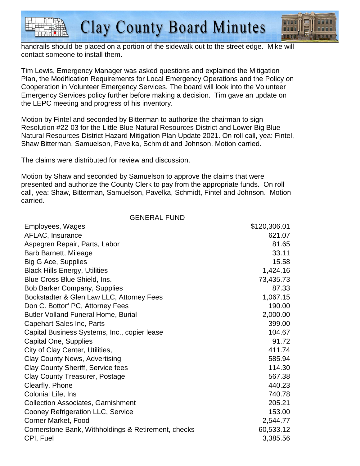

handrails should be placed on a portion of the sidewalk out to the street edge. Mike will contact someone to install them.

Tim Lewis, Emergency Manager was asked questions and explained the Mitigation Plan, the Modification Requirements for Local Emergency Operations and the Policy on Cooperation in Volunteer Emergency Services. The board will look into the Volunteer Emergency Services policy further before making a decision. Tim gave an update on the LEPC meeting and progress of his inventory.

Motion by Fintel and seconded by Bitterman to authorize the chairman to sign Resolution #22-03 for the Little Blue Natural Resources District and Lower Big Blue Natural Resources District Hazard Mitigation Plan Update 2021. On roll call, yea: Fintel, Shaw Bitterman, Samuelson, Pavelka, Schmidt and Johnson. Motion carried.

The claims were distributed for review and discussion.

Motion by Shaw and seconded by Samuelson to approve the claims that were presented and authorize the County Clerk to pay from the appropriate funds. On roll call, yea: Shaw, Bitterman, Samuelson, Pavelka, Schmidt, Fintel and Johnson. Motion carried.

GENERAL FUND

| Employees, Wages                                    | \$120,306.01 |
|-----------------------------------------------------|--------------|
| AFLAC, Insurance                                    | 621.07       |
| Aspegren Repair, Parts, Labor                       | 81.65        |
| Barb Barnett, Mileage                               | 33.11        |
| <b>Big G Ace, Supplies</b>                          | 15.58        |
| <b>Black Hills Energy, Utilities</b>                | 1,424.16     |
| Blue Cross Blue Shield, Ins.                        | 73,435.73    |
| <b>Bob Barker Company, Supplies</b>                 | 87.33        |
| Bockstadter & Glen Law LLC, Attorney Fees           | 1,067.15     |
| Don C. Bottorf PC, Attorney Fees                    | 190.00       |
| <b>Butler Volland Funeral Home, Burial</b>          | 2,000.00     |
| <b>Capehart Sales Inc, Parts</b>                    | 399.00       |
| Capital Business Systems, Inc., copier lease        | 104.67       |
| Capital One, Supplies                               | 91.72        |
| City of Clay Center, Utilities,                     | 411.74       |
| <b>Clay County News, Advertising</b>                | 585.94       |
| <b>Clay County Sheriff, Service fees</b>            | 114.30       |
| Clay County Treasurer, Postage                      | 567.38       |
| Clearfly, Phone                                     | 440.23       |
| Colonial Life, Ins                                  | 740.78       |
| <b>Collection Associates, Garnishment</b>           | 205.21       |
| Cooney Refrigeration LLC, Service                   | 153.00       |
| <b>Corner Market, Food</b>                          | 2,544.77     |
| Cornerstone Bank, Withholdings & Retirement, checks | 60,533.12    |
| CPI, Fuel                                           | 3,385.56     |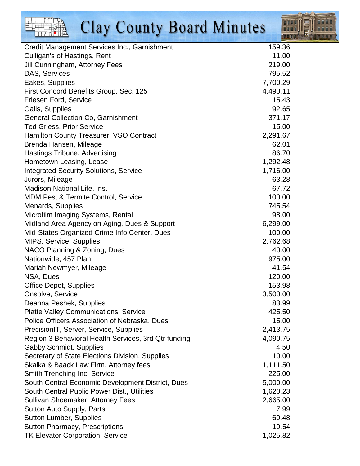| <b>Clay County Board Minutes</b>                     |          |
|------------------------------------------------------|----------|
| Credit Management Services Inc., Garnishment         | 159.36   |
| Culligan's of Hastings, Rent                         | 11.00    |
| Jill Cunningham, Attorney Fees                       | 219.00   |
| DAS, Services                                        | 795.52   |
| Eakes, Supplies                                      | 7,700.29 |
| First Concord Benefits Group, Sec. 125               | 4,490.11 |
| <b>Friesen Ford, Service</b>                         | 15.43    |
| Galls, Supplies                                      | 92.65    |
| <b>General Collection Co, Garnishment</b>            | 371.17   |
| <b>Ted Griess, Prior Service</b>                     | 15.00    |
| Hamilton County Treasurer, VSO Contract              | 2,291.67 |
| Brenda Hansen, Mileage                               | 62.01    |
| <b>Hastings Tribune, Advertising</b>                 | 86.70    |
| Hometown Leasing, Lease                              | 1,292.48 |
| <b>Integrated Security Solutions, Service</b>        | 1,716.00 |
| Jurors, Mileage                                      | 63.28    |
| Madison National Life, Ins.                          | 67.72    |
| <b>MDM Pest &amp; Termite Control, Service</b>       | 100.00   |
| Menards, Supplies                                    | 745.54   |
| Microfilm Imaging Systems, Rental                    | 98.00    |
| Midland Area Agency on Aging, Dues & Support         | 6,299.00 |
| Mid-States Organized Crime Info Center, Dues         | 100.00   |
| MIPS, Service, Supplies                              | 2,762.68 |
| NACO Planning & Zoning, Dues                         | 40.00    |
| Nationwide, 457 Plan                                 | 975.00   |
| Mariah Newmyer, Mileage                              | 41.54    |
| NSA, Dues                                            | 120.00   |
| <b>Office Depot, Supplies</b>                        | 153.98   |
| Onsolve, Service                                     | 3,500.00 |
| Deanna Peshek, Supplies                              | 83.99    |
| <b>Platte Valley Communications, Service</b>         | 425.50   |
| Police Officers Association of Nebraska, Dues        | 15.00    |
| PrecisionIT, Server, Service, Supplies               | 2,413.75 |
| Region 3 Behavioral Health Services, 3rd Qtr funding | 4,090.75 |
| <b>Gabby Schmidt, Supplies</b>                       | 4.50     |
| Secretary of State Elections Division, Supplies      | 10.00    |
| Skalka & Baack Law Firm, Attorney fees               | 1,111.50 |
| Smith Trenching Inc, Service                         | 225.00   |
| South Central Economic Development District, Dues    | 5,000.00 |
| South Central Public Power Dist., Utilities          | 1,620.23 |
| Sullivan Shoemaker, Attorney Fees                    | 2,665.00 |
| Sutton Auto Supply, Parts                            | 7.99     |
| <b>Sutton Lumber, Supplies</b>                       | 69.48    |
| <b>Sutton Pharmacy, Prescriptions</b>                | 19.54    |
| TK Elevator Corporation, Service                     | 1,025.82 |

idaa **THEF**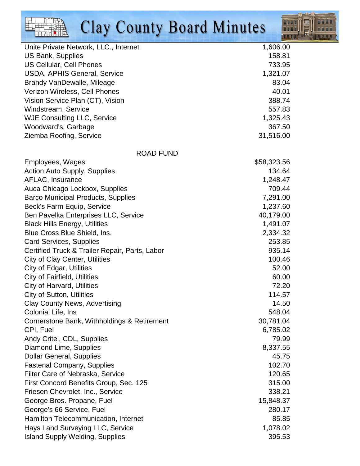

| Unite Private Network, LLC., Internet          | 1,606.00    |
|------------------------------------------------|-------------|
| <b>US Bank, Supplies</b>                       | 158.81      |
| US Cellular, Cell Phones                       | 733.95      |
| <b>USDA, APHIS General, Service</b>            | 1,321.07    |
| Brandy VanDewalle, Mileage                     | 83.04       |
| Verizon Wireless, Cell Phones                  | 40.01       |
| Vision Service Plan (CT), Vision               | 388.74      |
| Windstream, Service                            | 557.83      |
| <b>WJE Consulting LLC, Service</b>             | 1,325.43    |
| Woodward's, Garbage                            | 367.50      |
| Ziemba Roofing, Service                        | 31,516.00   |
| <b>ROAD FUND</b>                               |             |
| Employees, Wages                               | \$58,323.56 |
| <b>Action Auto Supply, Supplies</b>            | 134.64      |
| AFLAC, Insurance                               | 1,248.47    |
| Auca Chicago Lockbox, Supplies                 | 709.44      |
| <b>Barco Municipal Products, Supplies</b>      | 7,291.00    |
| Beck's Farm Equip, Service                     | 1,237.60    |
| Ben Pavelka Enterprises LLC, Service           | 40,179.00   |
| <b>Black Hills Energy, Utilities</b>           | 1,491.07    |
| Blue Cross Blue Shield, Ins.                   | 2,334.32    |
| <b>Card Services, Supplies</b>                 | 253.85      |
| Certified Truck & Trailer Repair, Parts, Labor | 935.14      |
| City of Clay Center, Utilities                 | 100.46      |
| <b>City of Edgar, Utilities</b>                | 52.00       |
| <b>City of Fairfield, Utilities</b>            | 60.00       |
| <b>City of Harvard, Utilities</b>              | 72.20       |
| <b>City of Sutton, Utilities</b>               | 114.57      |
| <b>Clay County News, Advertising</b>           | 14.50       |
| Colonial Life, Ins                             | 548.04      |
| Cornerstone Bank, Withholdings & Retirement    | 30,781.04   |
| CPI, Fuel                                      | 6,785.02    |
| Andy Critel, CDL, Supplies                     | 79.99       |
| Diamond Lime, Supplies                         | 8,337.55    |
| <b>Dollar General, Supplies</b>                | 45.75       |
| <b>Fastenal Company, Supplies</b>              | 102.70      |
| Filter Care of Nebraska, Service               | 120.65      |
| First Concord Benefits Group, Sec. 125         | 315.00      |
| Friesen Chevrolet, Inc., Service               | 338.21      |
| George Bros. Propane, Fuel                     | 15,848.37   |
| George's 66 Service, Fuel                      | 280.17      |
| Hamilton Telecommunication, Internet           | 85.85       |
| Hays Land Surveying LLC, Service               | 1,078.02    |
| <b>Island Supply Welding, Supplies</b>         | 395.53      |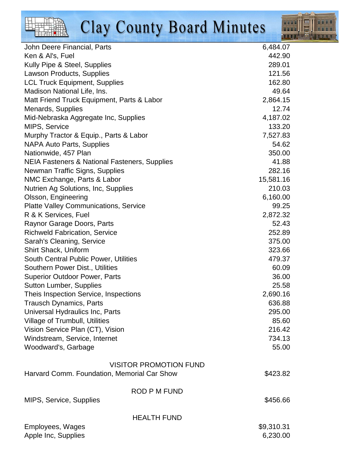

| John Deere Financial, Parts                                       | 6,484.07           |
|-------------------------------------------------------------------|--------------------|
| Ken & Al's, Fuel                                                  | 442.90             |
| Kully Pipe & Steel, Supplies                                      | 289.01             |
| Lawson Products, Supplies                                         | 121.56             |
| <b>LCL Truck Equipment, Supplies</b>                              | 162.80             |
| Madison National Life, Ins.                                       | 49.64              |
| Matt Friend Truck Equipment, Parts & Labor                        | 2,864.15           |
| Menards, Supplies                                                 | 12.74              |
| Mid-Nebraska Aggregate Inc, Supplies                              | 4,187.02           |
| MIPS, Service                                                     | 133.20             |
| Murphy Tractor & Equip., Parts & Labor                            | 7,527.83           |
| <b>NAPA Auto Parts, Supplies</b>                                  | 54.62              |
| Nationwide, 457 Plan                                              | 350.00             |
| NEIA Fasteners & National Fasteners, Supplies                     | 41.88              |
| Newman Traffic Signs, Supplies                                    | 282.16             |
| NMC Exchange, Parts & Labor                                       | 15,581.16          |
| Nutrien Ag Solutions, Inc, Supplies                               | 210.03             |
| Olsson, Engineering                                               | 6,160.00           |
| <b>Platte Valley Communications, Service</b>                      | 99.25              |
| R & K Services, Fuel                                              | 2,872.32           |
| Raynor Garage Doors, Parts                                        | 52.43              |
| <b>Richweld Fabrication, Service</b>                              | 252.89             |
| Sarah's Cleaning, Service                                         | 375.00             |
| <b>Shirt Shack, Uniform</b>                                       | 323.66             |
| South Central Public Power, Utilities                             | 479.37             |
| Southern Power Dist., Utilities                                   | 60.09              |
| <b>Superior Outdoor Power, Parts</b>                              | 36.00              |
| <b>Sutton Lumber, Supplies</b>                                    | 25.58              |
| Theis Inspection Service, Inspections                             | 2,690.16<br>636.88 |
| <b>Trausch Dynamics, Parts</b>                                    | 295.00             |
| Universal Hydraulics Inc, Parts<br>Village of Trumbull, Utilities | 85.60              |
| Vision Service Plan (CT), Vision                                  | 216.42             |
| Windstream, Service, Internet                                     | 734.13             |
| Woodward's, Garbage                                               | 55.00              |
|                                                                   |                    |
| <b>VISITOR PROMOTION FUND</b>                                     |                    |
| Harvard Comm. Foundation, Memorial Car Show                       | \$423.82           |
|                                                                   |                    |
| <b>ROD P M FUND</b>                                               |                    |
| MIPS, Service, Supplies                                           | \$456.66           |
|                                                                   |                    |
| <b>HEALTH FUND</b>                                                |                    |
| Employees, Wages                                                  | \$9,310.31         |
| Apple Inc, Supplies                                               | 6,230.00           |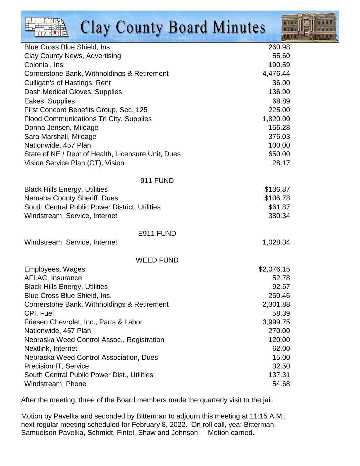

| Blue Cross Blue Shield, Ins.                       | 260.98     |
|----------------------------------------------------|------------|
| <b>Clay County News, Advertising</b>               | 55.60      |
| Colonial, Ins                                      | 190.59     |
| Cornerstone Bank, Withholdings & Retirement        | 4,476.44   |
| Culligan's of Hastings, Rent                       | 36.00      |
| Dash Medical Gloves, Supplies                      | 136.90     |
| Eakes, Supplies                                    | 68.89      |
| First Concord Benefits Group, Sec. 125             | 225.00     |
| <b>Flood Communications Tri City, Supplies</b>     | 1,820.00   |
| Donna Jensen, Mileage                              | 156.28     |
| Sara Marshall, Mileage                             | 376.03     |
| Nationwide, 457 Plan                               | 100.00     |
| State of NE / Dept of Health, Licensure Unit, Dues | 650.00     |
| Vision Service Plan (CT), Vision                   | 28.17      |
| <b>911 FUND</b>                                    |            |
| <b>Black Hills Energy, Utilities</b>               | \$136.87   |
| Nemaha County Sheriff, Dues                        | \$106.78   |
| South Central Public Power District, Utilities     | \$61.87    |
| Windstream, Service, Internet                      | 380.34     |
| E911 FUND                                          |            |
| Windstream, Service, Internet                      | 1,028.34   |
| <b>WEED FUND</b>                                   |            |
| Employees, Wages                                   | \$2,076.15 |
| AFLAC, Insurance                                   | 52.78      |
| <b>Black Hills Energy, Utilities</b>               | 92.67      |
| Blue Cross Blue Shield, Ins.                       | 250.46     |
| Cornerstone Bank, Withholdings & Retirement        | 2,301.88   |
| CPI, Fuel                                          | 58.39      |
| Friesen Chevrolet, Inc., Parts & Labor             | 3,999.75   |
| Nationwide, 457 Plan                               | 270.00     |
| Nebraska Weed Control Assoc., Registration         | 120.00     |
| Nextlink, Internet                                 | 62.00      |
| Nebraska Weed Control Association, Dues            | 15.00      |
| Precision IT, Service                              | 32.50      |
| South Central Public Power Dist., Utilities        | 137.31     |
| Windstream, Phone                                  | 54.68      |

After the meeting, three of the Board members made the quarterly visit to the jail.

Motion by Pavelka and seconded by Bitterman to adjourn this meeting at 11:15 A.M.; next regular meeting scheduled for February 8, 2022. On roll call, yea: Bitterman, Samuelson Pavelka, Schmidt, Fintel, Shaw and Johnson. Motion carried.